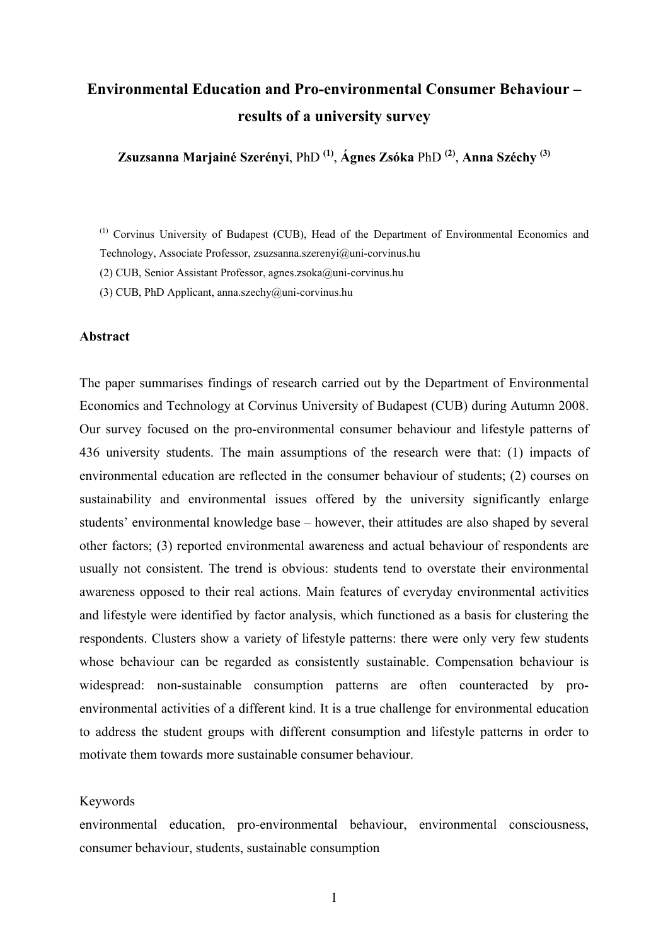# **Environmental Education and Pro-environmental Consumer Behaviour – results of a university survey**

**Zsuzsanna Marjainé Szerényi**, PhD **(1)**, **Ágnes Zsóka** PhD **(2)**, **Anna Széchy (3)** 

(1) Corvinus University of Budapest (CUB), Head of the Department of Environmental Economics and

Technology, Associate Professor, zsuzsanna.szerenyi@uni-corvinus.hu

(2) CUB, Senior Assistant Professor, agnes.zsoka@uni-corvinus.hu

(3) CUB, PhD Applicant, anna.szechy@uni-corvinus.hu

#### **Abstract**

The paper summarises findings of research carried out by the Department of Environmental Economics and Technology at Corvinus University of Budapest (CUB) during Autumn 2008. Our survey focused on the pro-environmental consumer behaviour and lifestyle patterns of 436 university students. The main assumptions of the research were that: (1) impacts of environmental education are reflected in the consumer behaviour of students; (2) courses on sustainability and environmental issues offered by the university significantly enlarge students' environmental knowledge base – however, their attitudes are also shaped by several other factors; (3) reported environmental awareness and actual behaviour of respondents are usually not consistent. The trend is obvious: students tend to overstate their environmental awareness opposed to their real actions. Main features of everyday environmental activities and lifestyle were identified by factor analysis, which functioned as a basis for clustering the respondents. Clusters show a variety of lifestyle patterns: there were only very few students whose behaviour can be regarded as consistently sustainable. Compensation behaviour is widespread: non-sustainable consumption patterns are often counteracted by proenvironmental activities of a different kind. It is a true challenge for environmental education to address the student groups with different consumption and lifestyle patterns in order to motivate them towards more sustainable consumer behaviour.

#### Keywords

environmental education, pro-environmental behaviour, environmental consciousness, consumer behaviour, students, sustainable consumption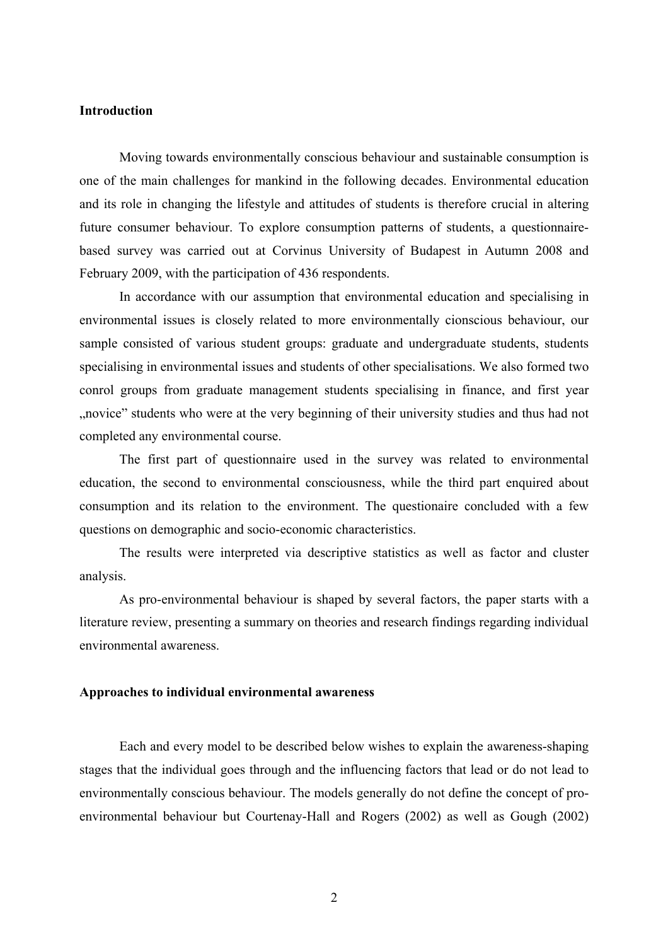## **Introduction**

Moving towards environmentally conscious behaviour and sustainable consumption is one of the main challenges for mankind in the following decades. Environmental education and its role in changing the lifestyle and attitudes of students is therefore crucial in altering future consumer behaviour. To explore consumption patterns of students, a questionnairebased survey was carried out at Corvinus University of Budapest in Autumn 2008 and February 2009, with the participation of 436 respondents.

In accordance with our assumption that environmental education and specialising in environmental issues is closely related to more environmentally cionscious behaviour, our sample consisted of various student groups: graduate and undergraduate students, students specialising in environmental issues and students of other specialisations. We also formed two conrol groups from graduate management students specialising in finance, and first year "novice" students who were at the very beginning of their university studies and thus had not completed any environmental course.

The first part of questionnaire used in the survey was related to environmental education, the second to environmental consciousness, while the third part enquired about consumption and its relation to the environment. The questionaire concluded with a few questions on demographic and socio-economic characteristics.

The results were interpreted via descriptive statistics as well as factor and cluster analysis.

 As pro-environmental behaviour is shaped by several factors, the paper starts with a literature review, presenting a summary on theories and research findings regarding individual environmental awareness.

#### **Approaches to individual environmental awareness**

Each and every model to be described below wishes to explain the awareness-shaping stages that the individual goes through and the influencing factors that lead or do not lead to environmentally conscious behaviour. The models generally do not define the concept of proenvironmental behaviour but Courtenay-Hall and Rogers (2002) as well as Gough (2002)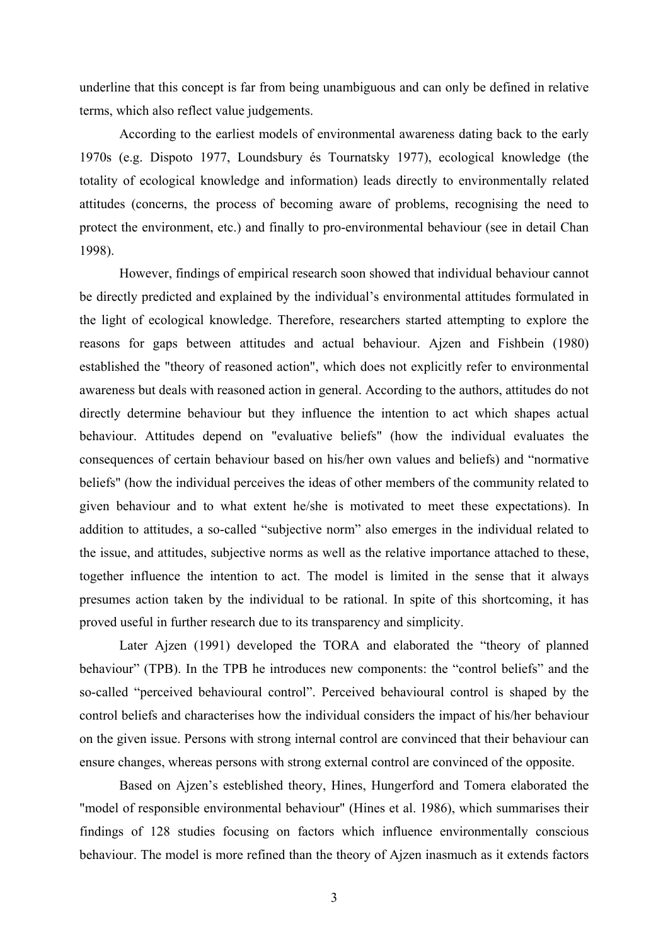underline that this concept is far from being unambiguous and can only be defined in relative terms, which also reflect value judgements.

According to the earliest models of environmental awareness dating back to the early 1970s (e.g. Dispoto 1977, Loundsbury és Tournatsky 1977), ecological knowledge (the totality of ecological knowledge and information) leads directly to environmentally related attitudes (concerns, the process of becoming aware of problems, recognising the need to protect the environment, etc.) and finally to pro-environmental behaviour (see in detail Chan 1998).

However, findings of empirical research soon showed that individual behaviour cannot be directly predicted and explained by the individual's environmental attitudes formulated in the light of ecological knowledge. Therefore, researchers started attempting to explore the reasons for gaps between attitudes and actual behaviour. Ajzen and Fishbein (1980) established the "theory of reasoned action", which does not explicitly refer to environmental awareness but deals with reasoned action in general. According to the authors, attitudes do not directly determine behaviour but they influence the intention to act which shapes actual behaviour. Attitudes depend on "evaluative beliefs" (how the individual evaluates the consequences of certain behaviour based on his/her own values and beliefs) and "normative beliefs" (how the individual perceives the ideas of other members of the community related to given behaviour and to what extent he/she is motivated to meet these expectations). In addition to attitudes, a so-called "subjective norm" also emerges in the individual related to the issue, and attitudes, subjective norms as well as the relative importance attached to these, together influence the intention to act. The model is limited in the sense that it always presumes action taken by the individual to be rational. In spite of this shortcoming, it has proved useful in further research due to its transparency and simplicity.

 Later Ajzen (1991) developed the TORA and elaborated the "theory of planned behaviour" (TPB). In the TPB he introduces new components: the "control beliefs" and the so-called "perceived behavioural control". Perceived behavioural control is shaped by the control beliefs and characterises how the individual considers the impact of his/her behaviour on the given issue. Persons with strong internal control are convinced that their behaviour can ensure changes, whereas persons with strong external control are convinced of the opposite.

Based on Ajzen's esteblished theory, Hines, Hungerford and Tomera elaborated the "model of responsible environmental behaviour" (Hines et al. 1986), which summarises their findings of 128 studies focusing on factors which influence environmentally conscious behaviour. The model is more refined than the theory of Ajzen inasmuch as it extends factors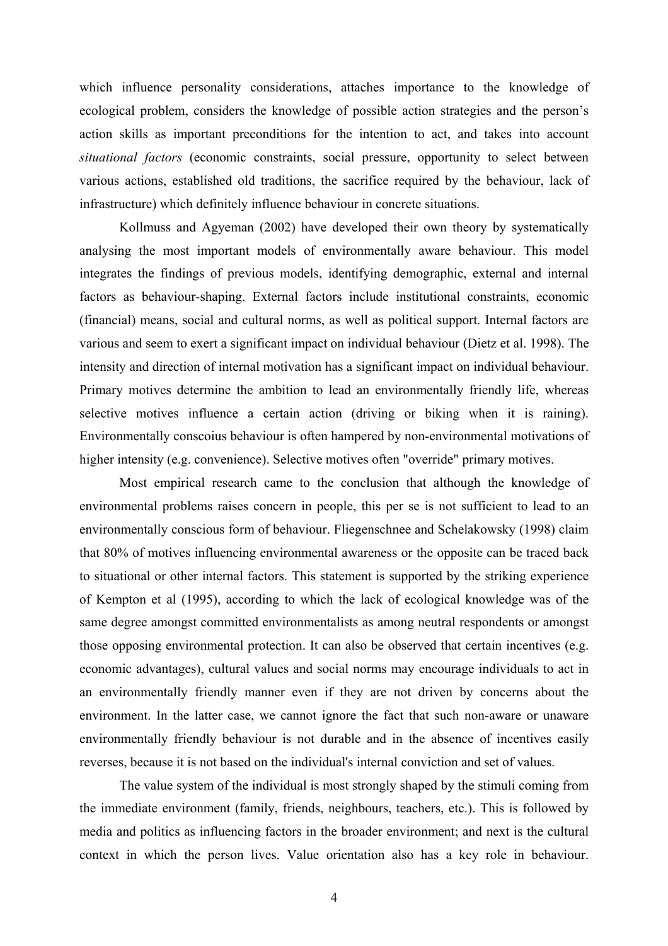which influence personality considerations, attaches importance to the knowledge of ecological problem, considers the knowledge of possible action strategies and the person's action skills as important preconditions for the intention to act, and takes into account *situational factors* (economic constraints, social pressure, opportunity to select between various actions, established old traditions, the sacrifice required by the behaviour, lack of infrastructure) which definitely influence behaviour in concrete situations.

Kollmuss and Agyeman (2002) have developed their own theory by systematically analysing the most important models of environmentally aware behaviour. This model integrates the findings of previous models, identifying demographic, external and internal factors as behaviour-shaping. External factors include institutional constraints, economic (financial) means, social and cultural norms, as well as political support. Internal factors are various and seem to exert a significant impact on individual behaviour (Dietz et al. 1998). The intensity and direction of internal motivation has a significant impact on individual behaviour. Primary motives determine the ambition to lead an environmentally friendly life, whereas selective motives influence a certain action (driving or biking when it is raining). Environmentally conscoius behaviour is often hampered by non-environmental motivations of higher intensity (e.g. convenience). Selective motives often "override" primary motives.

Most empirical research came to the conclusion that although the knowledge of environmental problems raises concern in people, this per se is not sufficient to lead to an environmentally conscious form of behaviour. Fliegenschnee and Schelakowsky (1998) claim that 80% of motives influencing environmental awareness or the opposite can be traced back to situational or other internal factors. This statement is supported by the striking experience of Kempton et al (1995), according to which the lack of ecological knowledge was of the same degree amongst committed environmentalists as among neutral respondents or amongst those opposing environmental protection. It can also be observed that certain incentives (e.g. economic advantages), cultural values and social norms may encourage individuals to act in an environmentally friendly manner even if they are not driven by concerns about the environment. In the latter case, we cannot ignore the fact that such non-aware or unaware environmentally friendly behaviour is not durable and in the absence of incentives easily reverses, because it is not based on the individual's internal conviction and set of values.

The value system of the individual is most strongly shaped by the stimuli coming from the immediate environment (family, friends, neighbours, teachers, etc.). This is followed by media and politics as influencing factors in the broader environment; and next is the cultural context in which the person lives. Value orientation also has a key role in behaviour.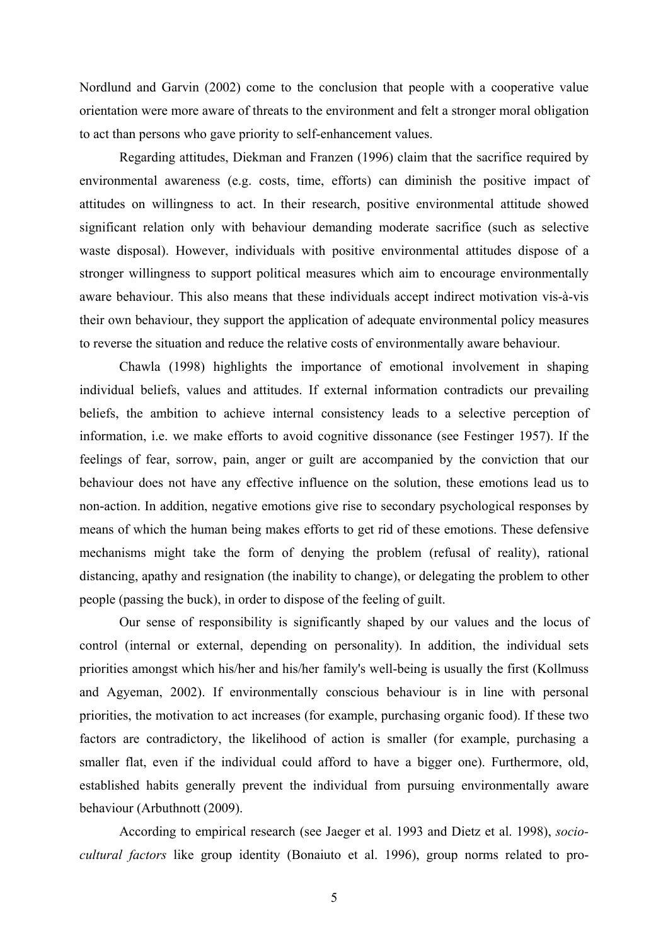Nordlund and Garvin (2002) come to the conclusion that people with a cooperative value orientation were more aware of threats to the environment and felt a stronger moral obligation to act than persons who gave priority to self-enhancement values.

Regarding attitudes, Diekman and Franzen (1996) claim that the sacrifice required by environmental awareness (e.g. costs, time, efforts) can diminish the positive impact of attitudes on willingness to act. In their research, positive environmental attitude showed significant relation only with behaviour demanding moderate sacrifice (such as selective waste disposal). However, individuals with positive environmental attitudes dispose of a stronger willingness to support political measures which aim to encourage environmentally aware behaviour. This also means that these individuals accept indirect motivation vis-à-vis their own behaviour, they support the application of adequate environmental policy measures to reverse the situation and reduce the relative costs of environmentally aware behaviour.

Chawla (1998) highlights the importance of emotional involvement in shaping individual beliefs, values and attitudes. If external information contradicts our prevailing beliefs, the ambition to achieve internal consistency leads to a selective perception of information, i.e. we make efforts to avoid cognitive dissonance (see Festinger 1957). If the feelings of fear, sorrow, pain, anger or guilt are accompanied by the conviction that our behaviour does not have any effective influence on the solution, these emotions lead us to non-action. In addition, negative emotions give rise to secondary psychological responses by means of which the human being makes efforts to get rid of these emotions. These defensive mechanisms might take the form of denying the problem (refusal of reality), rational distancing, apathy and resignation (the inability to change), or delegating the problem to other people (passing the buck), in order to dispose of the feeling of guilt.

Our sense of responsibility is significantly shaped by our values and the locus of control (internal or external, depending on personality). In addition, the individual sets priorities amongst which his/her and his/her family's well-being is usually the first (Kollmuss and Agyeman, 2002). If environmentally conscious behaviour is in line with personal priorities, the motivation to act increases (for example, purchasing organic food). If these two factors are contradictory, the likelihood of action is smaller (for example, purchasing a smaller flat, even if the individual could afford to have a bigger one). Furthermore, old, established habits generally prevent the individual from pursuing environmentally aware behaviour (Arbuthnott (2009).

According to empirical research (see Jaeger et al. 1993 and Dietz et al. 1998), *sociocultural factors* like group identity (Bonaiuto et al. 1996), group norms related to pro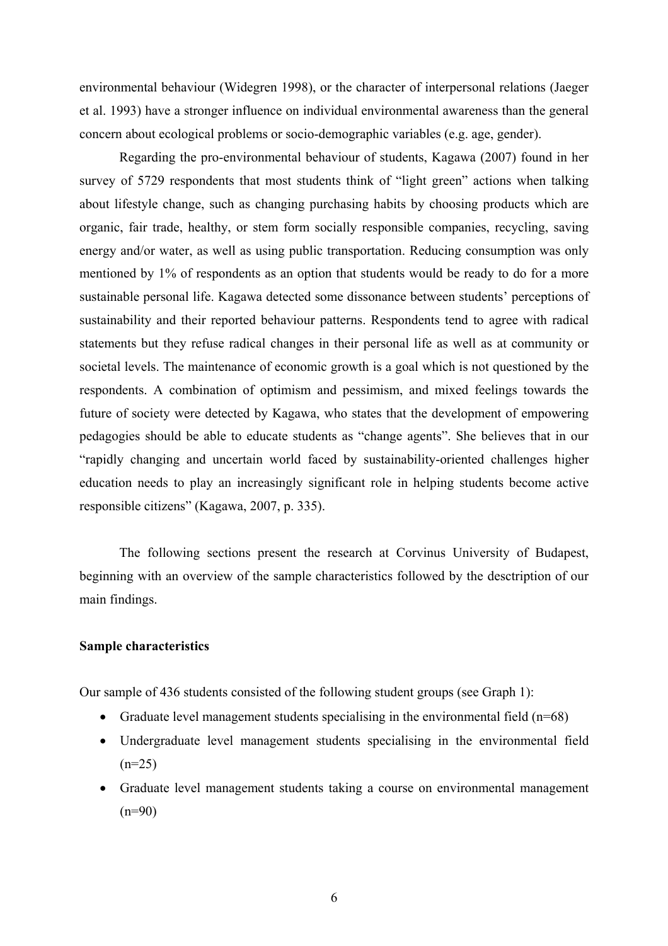environmental behaviour (Widegren 1998), or the character of interpersonal relations (Jaeger et al. 1993) have a stronger influence on individual environmental awareness than the general concern about ecological problems or socio-demographic variables (e.g. age, gender).

Regarding the pro-environmental behaviour of students, Kagawa (2007) found in her survey of 5729 respondents that most students think of "light green" actions when talking about lifestyle change, such as changing purchasing habits by choosing products which are organic, fair trade, healthy, or stem form socially responsible companies, recycling, saving energy and/or water, as well as using public transportation. Reducing consumption was only mentioned by 1% of respondents as an option that students would be ready to do for a more sustainable personal life. Kagawa detected some dissonance between students' perceptions of sustainability and their reported behaviour patterns. Respondents tend to agree with radical statements but they refuse radical changes in their personal life as well as at community or societal levels. The maintenance of economic growth is a goal which is not questioned by the respondents. A combination of optimism and pessimism, and mixed feelings towards the future of society were detected by Kagawa, who states that the development of empowering pedagogies should be able to educate students as "change agents". She believes that in our "rapidly changing and uncertain world faced by sustainability-oriented challenges higher education needs to play an increasingly significant role in helping students become active responsible citizens" (Kagawa, 2007, p. 335).

The following sections present the research at Corvinus University of Budapest, beginning with an overview of the sample characteristics followed by the desctription of our main findings.

## **Sample characteristics**

Our sample of 436 students consisted of the following student groups (see Graph 1):

- Graduate level management students specialising in the environmental field  $(n=68)$
- Undergraduate level management students specialising in the environmental field  $(n=25)$
- Graduate level management students taking a course on environmental management  $(n=90)$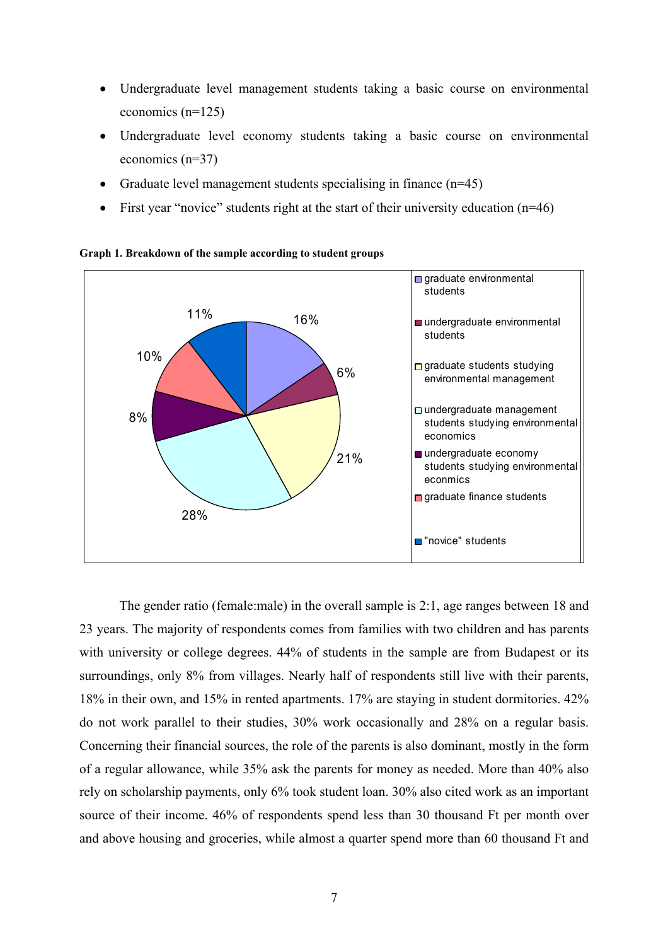- Undergraduate level management students taking a basic course on environmental economics (n=125)
- Undergraduate level economy students taking a basic course on environmental economics (n=37)
- Graduate level management students specialising in finance  $(n=45)$
- First year "novice" students right at the start of their university education  $(n=46)$



**Graph 1. Breakdown of the sample according to student groups** 

The gender ratio (female:male) in the overall sample is 2:1, age ranges between 18 and 23 years. The majority of respondents comes from families with two children and has parents with university or college degrees. 44% of students in the sample are from Budapest or its surroundings, only 8% from villages. Nearly half of respondents still live with their parents, 18% in their own, and 15% in rented apartments. 17% are staying in student dormitories. 42% do not work parallel to their studies, 30% work occasionally and 28% on a regular basis. Concerning their financial sources, the role of the parents is also dominant, mostly in the form of a regular allowance, while 35% ask the parents for money as needed. More than 40% also rely on scholarship payments, only 6% took student loan. 30% also cited work as an important source of their income. 46% of respondents spend less than 30 thousand Ft per month over and above housing and groceries, while almost a quarter spend more than 60 thousand Ft and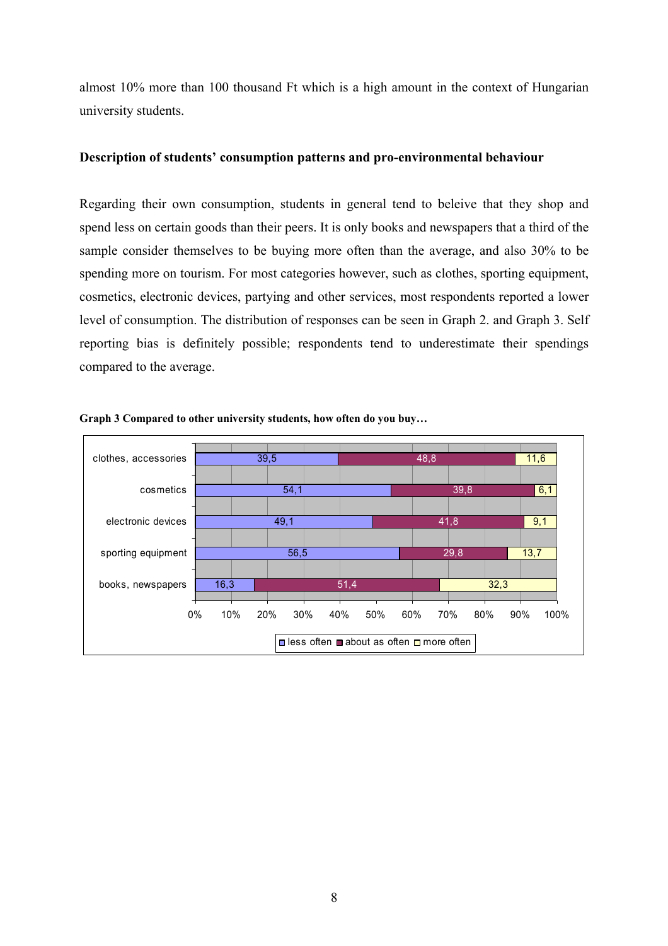almost 10% more than 100 thousand Ft which is a high amount in the context of Hungarian university students.

## **Description of students' consumption patterns and pro-environmental behaviour**

Regarding their own consumption, students in general tend to beleive that they shop and spend less on certain goods than their peers. It is only books and newspapers that a third of the sample consider themselves to be buying more often than the average, and also 30% to be spending more on tourism. For most categories however, such as clothes, sporting equipment, cosmetics, electronic devices, partying and other services, most respondents reported a lower level of consumption. The distribution of responses can be seen in Graph 2. and Graph 3. Self reporting bias is definitely possible; respondents tend to underestimate their spendings compared to the average.



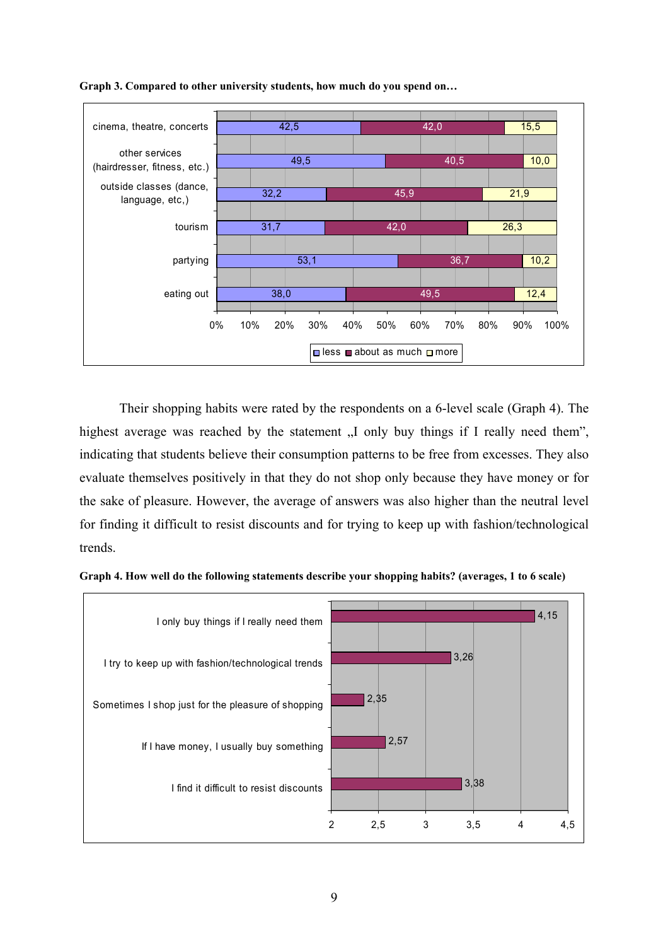



Their shopping habits were rated by the respondents on a 6-level scale (Graph 4). The highest average was reached by the statement  $\overline{N}$  only buy things if I really need them", indicating that students believe their consumption patterns to be free from excesses. They also evaluate themselves positively in that they do not shop only because they have money or for the sake of pleasure. However, the average of answers was also higher than the neutral level for finding it difficult to resist discounts and for trying to keep up with fashion/technological trends.



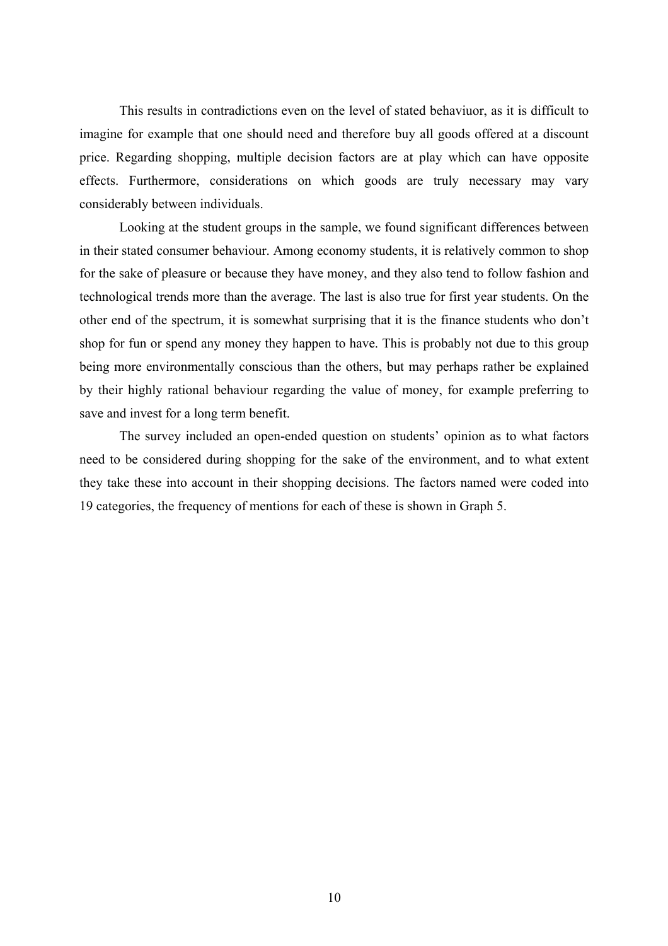This results in contradictions even on the level of stated behaviuor, as it is difficult to imagine for example that one should need and therefore buy all goods offered at a discount price. Regarding shopping, multiple decision factors are at play which can have opposite effects. Furthermore, considerations on which goods are truly necessary may vary considerably between individuals.

Looking at the student groups in the sample, we found significant differences between in their stated consumer behaviour. Among economy students, it is relatively common to shop for the sake of pleasure or because they have money, and they also tend to follow fashion and technological trends more than the average. The last is also true for first year students. On the other end of the spectrum, it is somewhat surprising that it is the finance students who don't shop for fun or spend any money they happen to have. This is probably not due to this group being more environmentally conscious than the others, but may perhaps rather be explained by their highly rational behaviour regarding the value of money, for example preferring to save and invest for a long term benefit.

The survey included an open-ended question on students' opinion as to what factors need to be considered during shopping for the sake of the environment, and to what extent they take these into account in their shopping decisions. The factors named were coded into 19 categories, the frequency of mentions for each of these is shown in Graph 5.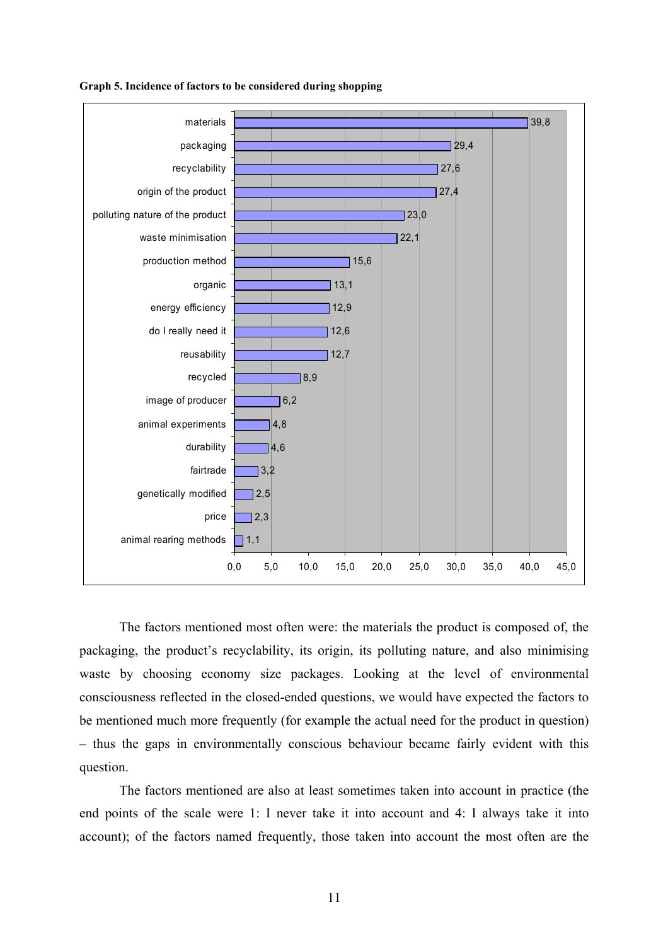

#### **Graph 5. Incidence of factors to be considered during shopping**

The factors mentioned most often were: the materials the product is composed of, the packaging, the product's recyclability, its origin, its polluting nature, and also minimising waste by choosing economy size packages. Looking at the level of environmental consciousness reflected in the closed-ended questions, we would have expected the factors to be mentioned much more frequently (for example the actual need for the product in question) – thus the gaps in environmentally conscious behaviour became fairly evident with this question.

The factors mentioned are also at least sometimes taken into account in practice (the end points of the scale were 1: I never take it into account and 4: I always take it into account); of the factors named frequently, those taken into account the most often are the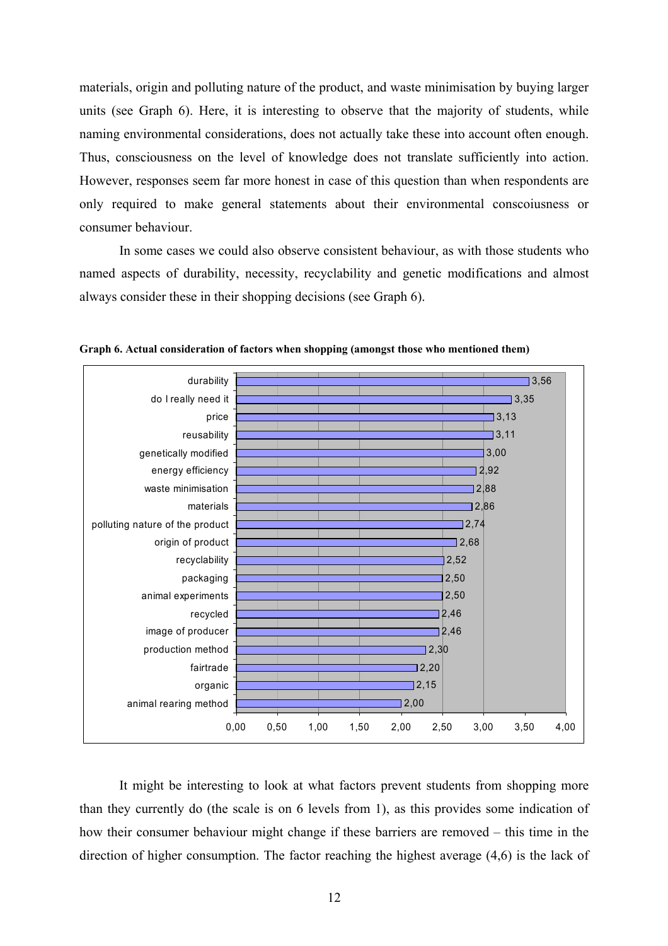materials, origin and polluting nature of the product, and waste minimisation by buying larger units (see Graph 6). Here, it is interesting to observe that the majority of students, while naming environmental considerations, does not actually take these into account often enough. Thus, consciousness on the level of knowledge does not translate sufficiently into action. However, responses seem far more honest in case of this question than when respondents are only required to make general statements about their environmental conscoiusness or consumer behaviour.

In some cases we could also observe consistent behaviour, as with those students who named aspects of durability, necessity, recyclability and genetic modifications and almost always consider these in their shopping decisions (see Graph 6).



**Graph 6. Actual consideration of factors when shopping (amongst those who mentioned them)** 

It might be interesting to look at what factors prevent students from shopping more than they currently do (the scale is on 6 levels from 1), as this provides some indication of how their consumer behaviour might change if these barriers are removed – this time in the direction of higher consumption. The factor reaching the highest average (4,6) is the lack of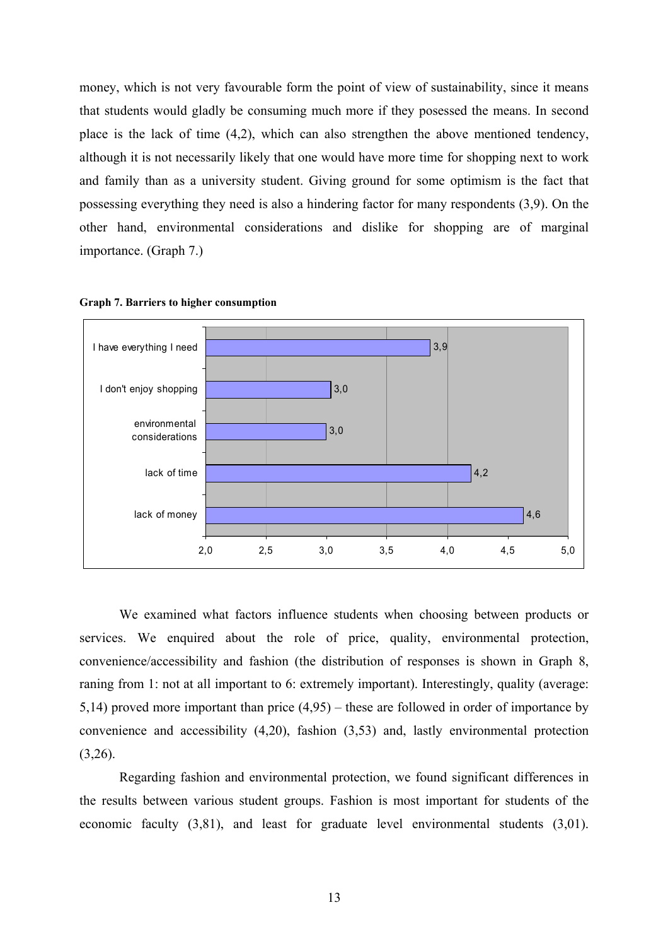money, which is not very favourable form the point of view of sustainability, since it means that students would gladly be consuming much more if they posessed the means. In second place is the lack of time (4,2), which can also strengthen the above mentioned tendency, although it is not necessarily likely that one would have more time for shopping next to work and family than as a university student. Giving ground for some optimism is the fact that possessing everything they need is also a hindering factor for many respondents (3,9). On the other hand, environmental considerations and dislike for shopping are of marginal importance. (Graph 7.)



**Graph 7. Barriers to higher consumption** 

We examined what factors influence students when choosing between products or services. We enquired about the role of price, quality, environmental protection, convenience/accessibility and fashion (the distribution of responses is shown in Graph 8, raning from 1: not at all important to 6: extremely important). Interestingly, quality (average: 5,14) proved more important than price (4,95) – these are followed in order of importance by convenience and accessibility (4,20), fashion (3,53) and, lastly environmental protection  $(3,26)$ .

Regarding fashion and environmental protection, we found significant differences in the results between various student groups. Fashion is most important for students of the economic faculty (3,81), and least for graduate level environmental students (3,01).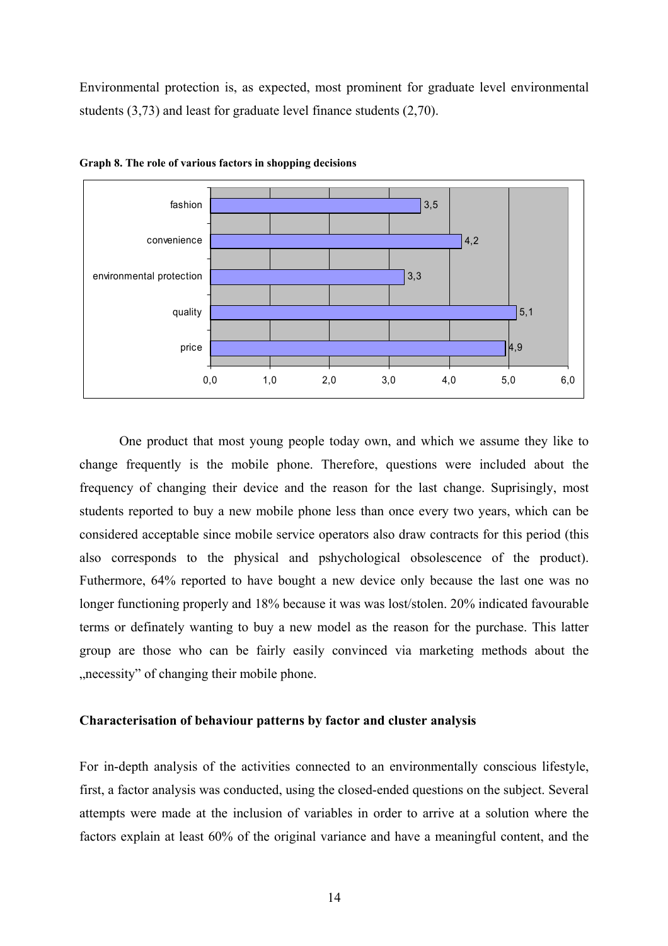Environmental protection is, as expected, most prominent for graduate level environmental students (3,73) and least for graduate level finance students (2,70).



**Graph 8. The role of various factors in shopping decisions** 

One product that most young people today own, and which we assume they like to change frequently is the mobile phone. Therefore, questions were included about the frequency of changing their device and the reason for the last change. Suprisingly, most students reported to buy a new mobile phone less than once every two years, which can be considered acceptable since mobile service operators also draw contracts for this period (this also corresponds to the physical and pshychological obsolescence of the product). Futhermore, 64% reported to have bought a new device only because the last one was no longer functioning properly and 18% because it was was lost/stolen. 20% indicated favourable terms or definately wanting to buy a new model as the reason for the purchase. This latter group are those who can be fairly easily convinced via marketing methods about the ", necessity" of changing their mobile phone.

## **Characterisation of behaviour patterns by factor and cluster analysis**

For in-depth analysis of the activities connected to an environmentally conscious lifestyle, first, a factor analysis was conducted, using the closed-ended questions on the subject. Several attempts were made at the inclusion of variables in order to arrive at a solution where the factors explain at least 60% of the original variance and have a meaningful content, and the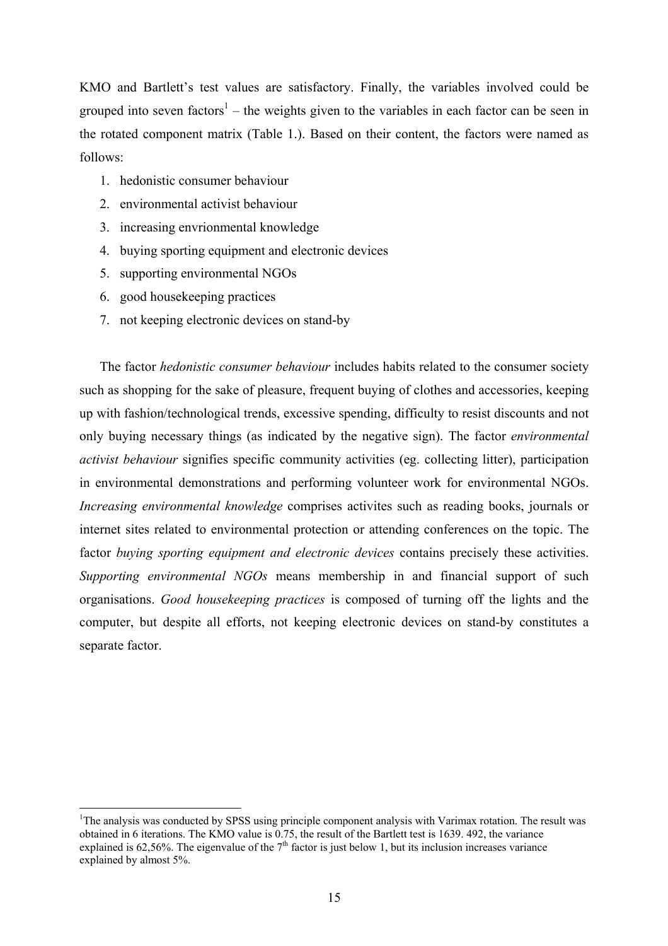KMO and Bartlett's test values are satisfactory. Finally, the variables involved could be grouped into seven factors<sup>1</sup> – the weights given to the variables in each factor can be seen in the rotated component matrix (Table 1.). Based on their content, the factors were named as follows:

- 1. hedonistic consumer behaviour
- 2. environmental activist behaviour
- 3. increasing envrionmental knowledge
- 4. buying sporting equipment and electronic devices
- 5. supporting environmental NGOs
- 6. good housekeeping practices

1

7. not keeping electronic devices on stand-by

The factor *hedonistic consumer behaviour* includes habits related to the consumer society such as shopping for the sake of pleasure, frequent buying of clothes and accessories, keeping up with fashion/technological trends, excessive spending, difficulty to resist discounts and not only buying necessary things (as indicated by the negative sign). The factor *environmental activist behaviour* signifies specific community activities (eg. collecting litter), participation in environmental demonstrations and performing volunteer work for environmental NGOs. *Increasing environmental knowledge* comprises activites such as reading books, journals or internet sites related to environmental protection or attending conferences on the topic. The factor *buying sporting equipment and electronic devices* contains precisely these activities. *Supporting environmental NGOs* means membership in and financial support of such organisations. *Good housekeeping practices* is composed of turning off the lights and the computer, but despite all efforts, not keeping electronic devices on stand-by constitutes a separate factor.

<sup>&</sup>lt;sup>1</sup>The analysis was conducted by SPSS using principle component analysis with Varimax rotation. The result was obtained in 6 iterations. The KMO value is 0.75, the result of the Bartlett test is 1639. 492, the variance explained is 62,56%. The eigenvalue of the  $7<sup>th</sup>$  factor is just below 1, but its inclusion increases variance explained by almost 5%.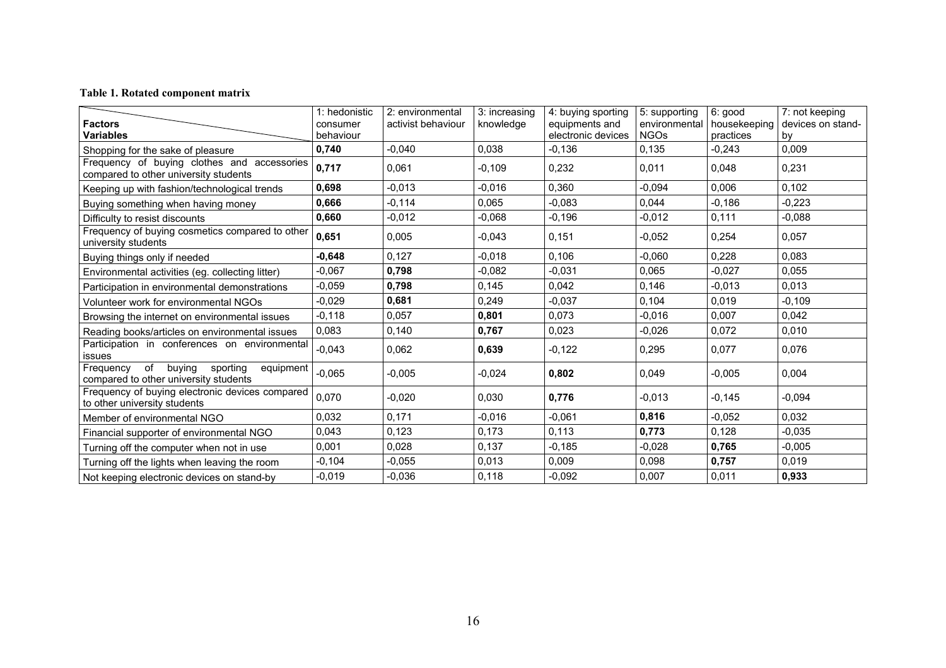## **Table 1. Rotated component matrix**

| <b>Factors</b><br><b>Variables</b>                                                          | 1: hedonistic<br>consumer<br>behaviour | 2: environmental<br>activist behaviour | 3: increasing<br>knowledge | 4: buying sporting<br>equipments and<br>electronic devices | 5: supporting<br>environmental<br><b>NGOs</b> | 6: good<br>housekeeping<br>practices | 7: not keeping<br>devices on stand-<br>by |
|---------------------------------------------------------------------------------------------|----------------------------------------|----------------------------------------|----------------------------|------------------------------------------------------------|-----------------------------------------------|--------------------------------------|-------------------------------------------|
| Shopping for the sake of pleasure                                                           | 0,740                                  | $-0,040$                               | 0,038                      | $-0,136$                                                   | 0,135                                         | $-0,243$                             | 0,009                                     |
| Frequency of buying clothes and accessories<br>compared to other university students        | 0,717                                  | 0,061                                  | $-0,109$                   | 0,232                                                      | 0,011                                         | 0,048                                | 0,231                                     |
| Keeping up with fashion/technological trends                                                | 0,698                                  | $-0,013$                               | $-0,016$                   | 0,360                                                      | $-0,094$                                      | 0,006                                | 0,102                                     |
| Buying something when having money                                                          | 0,666                                  | $-0,114$                               | 0,065                      | $-0,083$                                                   | 0,044                                         | $-0,186$                             | $-0,223$                                  |
| Difficulty to resist discounts                                                              | 0,660                                  | $-0,012$                               | $-0,068$                   | $-0.196$                                                   | $-0,012$                                      | 0,111                                | $-0,088$                                  |
| Frequency of buying cosmetics compared to other<br>university students                      | 0,651                                  | 0,005                                  | $-0,043$                   | 0,151                                                      | $-0,052$                                      | 0,254                                | 0.057                                     |
| Buying things only if needed                                                                | $-0,648$                               | 0,127                                  | $-0,018$                   | 0,106                                                      | $-0,060$                                      | 0,228                                | 0.083                                     |
| Environmental activities (eg. collecting litter)                                            | $-0,067$                               | 0,798                                  | $-0,082$                   | $-0,031$                                                   | 0,065                                         | $-0,027$                             | 0,055                                     |
| Participation in environmental demonstrations                                               | $-0,059$                               | 0,798                                  | 0,145                      | 0,042                                                      | 0,146                                         | $-0,013$                             | 0,013                                     |
| Volunteer work for environmental NGOs                                                       | $-0.029$                               | 0,681                                  | 0,249                      | $-0.037$                                                   | 0.104                                         | 0.019                                | -0.109                                    |
| Browsing the internet on environmental issues                                               | $-0,118$                               | 0,057                                  | 0,801                      | 0,073                                                      | $-0,016$                                      | 0,007                                | 0,042                                     |
| Reading books/articles on environmental issues                                              | 0,083                                  | 0,140                                  | 0,767                      | 0,023                                                      | $-0,026$                                      | 0,072                                | 0,010                                     |
| Participation in conferences on environmental<br>issues                                     | $-0,043$                               | 0,062                                  | 0,639                      | $-0,122$                                                   | 0,295                                         | 0,077                                | 0,076                                     |
| Frequency<br>of<br>buying<br>sporting<br>equipment<br>compared to other university students | $-0,065$                               | $-0.005$                               | $-0,024$                   | 0,802                                                      | 0,049                                         | $-0,005$                             | 0.004                                     |
| Frequency of buying electronic devices compared<br>to other university students             | 0,070                                  | $-0,020$                               | 0,030                      | 0,776                                                      | $-0,013$                                      | $-0,145$                             | $-0,094$                                  |
| Member of environmental NGO                                                                 | 0.032                                  | 0,171                                  | $-0.016$                   | $-0.061$                                                   | 0,816                                         | $-0,052$                             | 0.032                                     |
| Financial supporter of environmental NGO                                                    | 0,043                                  | 0,123                                  | 0,173                      | 0,113                                                      | 0,773                                         | 0,128                                | $-0,035$                                  |
| Turning off the computer when not in use                                                    | 0,001                                  | 0,028                                  | 0,137                      | $-0,185$                                                   | $-0,028$                                      | 0,765                                | $-0,005$                                  |
| Turning off the lights when leaving the room                                                | $-0.104$                               | $-0,055$                               | 0,013                      | 0,009                                                      | 0,098                                         | 0,757                                | 0,019                                     |
| Not keeping electronic devices on stand-by                                                  | $-0,019$                               | $-0,036$                               | 0,118                      | $-0,092$                                                   | 0,007                                         | 0,011                                | 0,933                                     |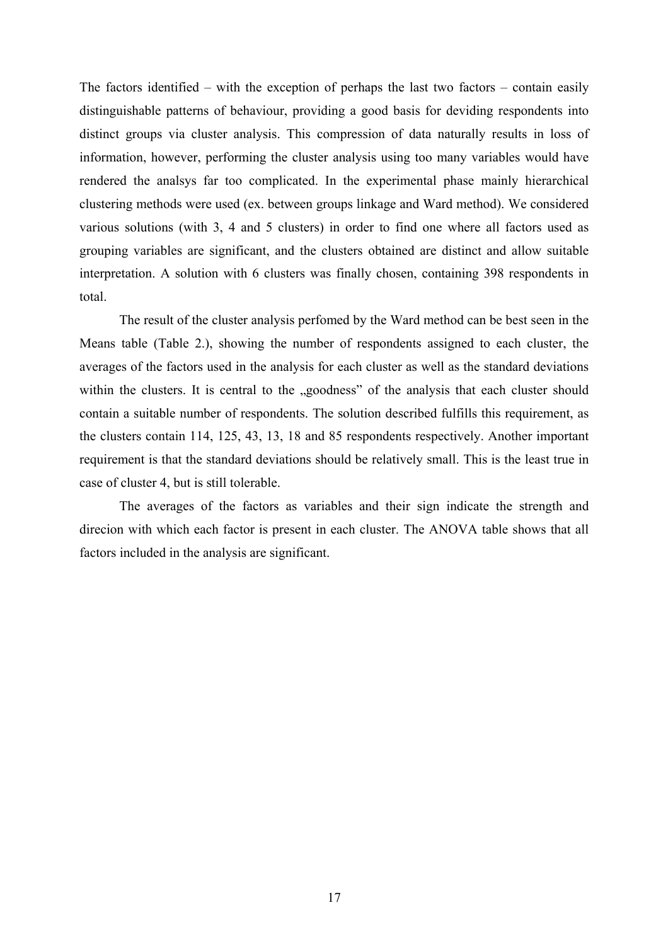The factors identified – with the exception of perhaps the last two factors – contain easily distinguishable patterns of behaviour, providing a good basis for deviding respondents into distinct groups via cluster analysis. This compression of data naturally results in loss of information, however, performing the cluster analysis using too many variables would have rendered the analsys far too complicated. In the experimental phase mainly hierarchical clustering methods were used (ex. between groups linkage and Ward method). We considered various solutions (with 3, 4 and 5 clusters) in order to find one where all factors used as grouping variables are significant, and the clusters obtained are distinct and allow suitable interpretation. A solution with 6 clusters was finally chosen, containing 398 respondents in total.

The result of the cluster analysis perfomed by the Ward method can be best seen in the Means table (Table 2.), showing the number of respondents assigned to each cluster, the averages of the factors used in the analysis for each cluster as well as the standard deviations within the clusters. It is central to the "goodness" of the analysis that each cluster should contain a suitable number of respondents. The solution described fulfills this requirement, as the clusters contain 114, 125, 43, 13, 18 and 85 respondents respectively. Another important requirement is that the standard deviations should be relatively small. This is the least true in case of cluster 4, but is still tolerable.

The averages of the factors as variables and their sign indicate the strength and direcion with which each factor is present in each cluster. The ANOVA table shows that all factors included in the analysis are significant.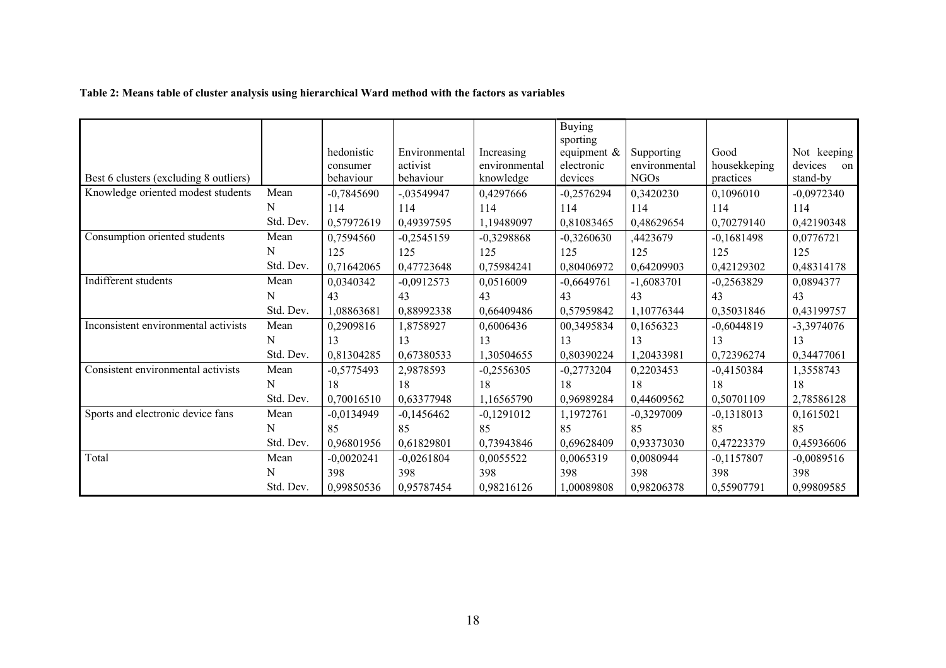|  | Table 2: Means table of cluster analysis using hierarchical Ward method with the factors as variables |
|--|-------------------------------------------------------------------------------------------------------|
|  |                                                                                                       |

|                                        |           |              |               |               | <b>Buying</b>              |               |              |               |
|----------------------------------------|-----------|--------------|---------------|---------------|----------------------------|---------------|--------------|---------------|
|                                        |           | hedonistic   | Environmental | Increasing    | sporting<br>equipment $\&$ | Supporting    | Good         | Not keeping   |
|                                        |           | consumer     | activist      | environmental | electronic                 | environmental | housekkeping | devices<br>on |
| Best 6 clusters (excluding 8 outliers) |           | behaviour    | behaviour     | knowledge     | devices                    | <b>NGOs</b>   | practices    | stand-by      |
| Knowledge oriented modest students     | Mean      | $-0,7845690$ | $-.03549947$  | 0,4297666     | $-0,2576294$               | 0,3420230     | 0,1096010    | $-0,0972340$  |
|                                        | N         | 114          | 114           | 114           | 114                        | 114           | 114          | 114           |
|                                        | Std. Dev. | 0,57972619   | 0,49397595    | 1,19489097    | 0,81083465                 | 0,48629654    | 0,70279140   | 0,42190348    |
| Consumption oriented students          | Mean      | 0,7594560    | $-0,2545159$  | $-0,3298868$  | $-0,3260630$               | ,4423679      | $-0,1681498$ | 0,0776721     |
|                                        | N         | 125          | 125           | 125           | 125                        | 125           | 125          | 125           |
|                                        | Std. Dev. | 0,71642065   | 0,47723648    | 0,75984241    | 0,80406972                 | 0,64209903    | 0,42129302   | 0,48314178    |
| Indifferent students                   | Mean      | 0,0340342    | $-0,0912573$  | 0,0516009     | $-0,6649761$               | $-1,6083701$  | $-0,2563829$ | 0,0894377     |
|                                        | N         | 43           | 43            | 43            | 43                         | 43            | 43           | 43            |
|                                        | Std. Dev. | 1,08863681   | 0,88992338    | 0,66409486    | 0,57959842                 | 1,10776344    | 0,35031846   | 0,43199757    |
| Inconsistent environmental activists   | Mean      | 0,2909816    | 1,8758927     | 0,6006436     | 00,3495834                 | 0,1656323     | $-0,6044819$ | $-3,3974076$  |
|                                        | N         | 13           | 13            | 13            | 13                         | 13            | 13           | 13            |
|                                        | Std. Dev. | 0,81304285   | 0,67380533    | 1,30504655    | 0,80390224                 | 1,20433981    | 0,72396274   | 0,34477061    |
| Consistent environmental activists     | Mean      | $-0,5775493$ | 2,9878593     | $-0,2556305$  | $-0,2773204$               | 0,2203453     | $-0,4150384$ | 1,3558743     |
|                                        | N         | 18           | 18            | 18            | 18                         | 18            | 18           | 18            |
|                                        | Std. Dev. | 0,70016510   | 0,63377948    | 1,16565790    | 0.96989284                 | 0,44609562    | 0,50701109   | 2,78586128    |
| Sports and electronic device fans      | Mean      | $-0,0134949$ | $-0,1456462$  | $-0,1291012$  | 1,1972761                  | $-0,3297009$  | $-0,1318013$ | 0,1615021     |
|                                        | N         | 85           | 85            | 85            | 85                         | 85            | 85           | 85            |
|                                        | Std. Dev. | 0,96801956   | 0,61829801    | 0,73943846    | 0.69628409                 | 0,93373030    | 0,47223379   | 0,45936606    |
| Total                                  | Mean      | $-0,0020241$ | $-0,0261804$  | 0,0055522     | 0,0065319                  | 0,0080944     | $-0,1157807$ | $-0,0089516$  |
|                                        | N         | 398          | 398           | 398           | 398                        | 398           | 398          | 398           |
|                                        | Std. Dev. | 0,99850536   | 0,95787454    | 0,98216126    | 1,00089808                 | 0,98206378    | 0,55907791   | 0,99809585    |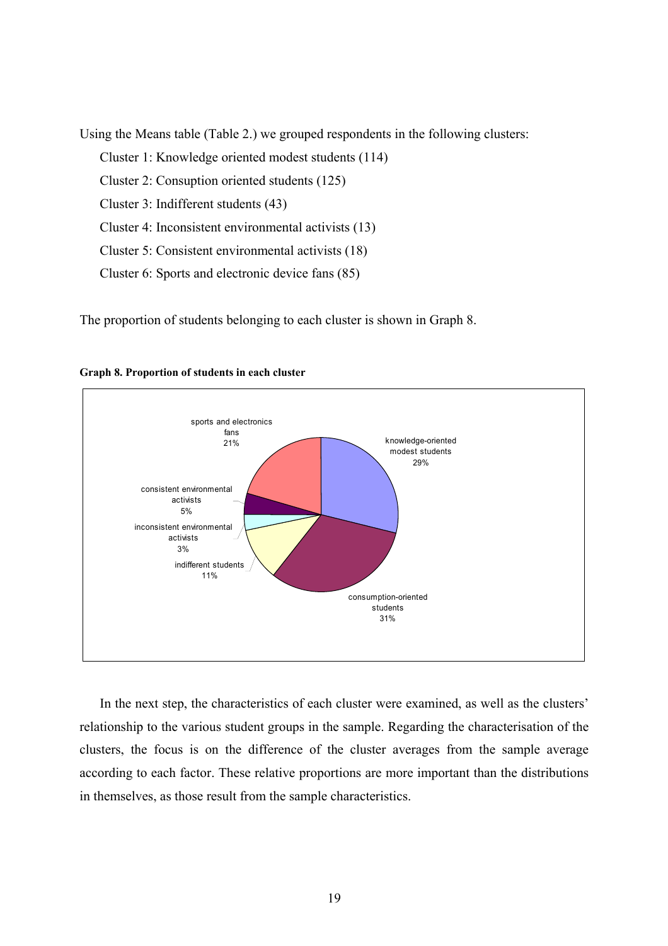Using the Means table (Table 2.) we grouped respondents in the following clusters:

Cluster 1: Knowledge oriented modest students (114)

Cluster 2: Consuption oriented students (125)

Cluster 3: Indifferent students (43)

Cluster 4: Inconsistent environmental activists (13)

Cluster 5: Consistent environmental activists (18)

Cluster 6: Sports and electronic device fans (85)

The proportion of students belonging to each cluster is shown in Graph 8.



**Graph 8. Proportion of students in each cluster** 

In the next step, the characteristics of each cluster were examined, as well as the clusters' relationship to the various student groups in the sample. Regarding the characterisation of the clusters, the focus is on the difference of the cluster averages from the sample average according to each factor. These relative proportions are more important than the distributions in themselves, as those result from the sample characteristics.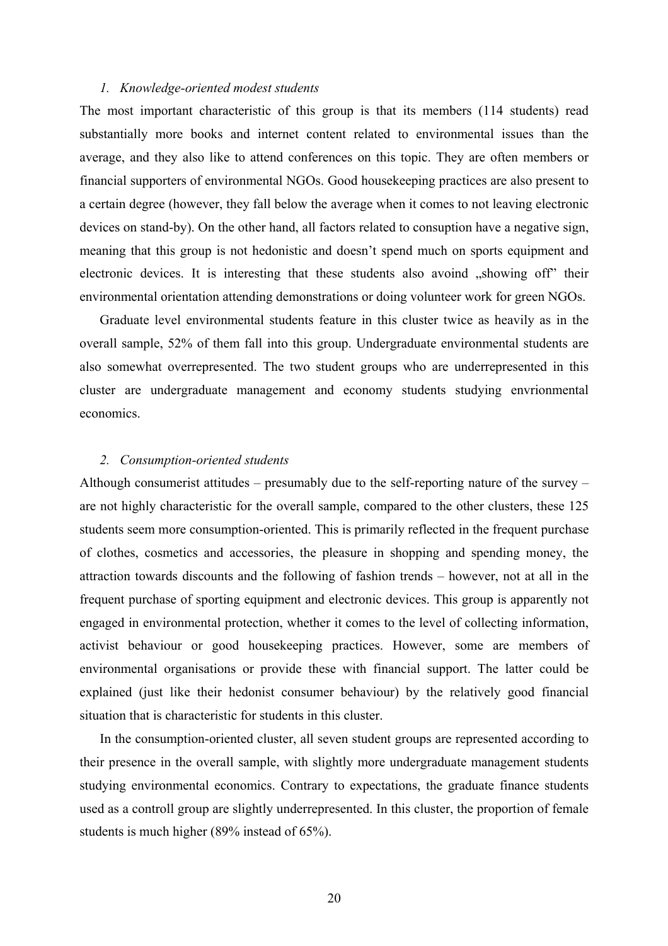#### *1. Knowledge-oriented modest students*

The most important characteristic of this group is that its members (114 students) read substantially more books and internet content related to environmental issues than the average, and they also like to attend conferences on this topic. They are often members or financial supporters of environmental NGOs. Good housekeeping practices are also present to a certain degree (however, they fall below the average when it comes to not leaving electronic devices on stand-by). On the other hand, all factors related to consuption have a negative sign, meaning that this group is not hedonistic and doesn't spend much on sports equipment and electronic devices. It is interesting that these students also avoind "showing off" their environmental orientation attending demonstrations or doing volunteer work for green NGOs.

Graduate level environmental students feature in this cluster twice as heavily as in the overall sample, 52% of them fall into this group. Undergraduate environmental students are also somewhat overrepresented. The two student groups who are underrepresented in this cluster are undergraduate management and economy students studying envrionmental economics.

### *2. Consumption-oriented students*

Although consumerist attitudes – presumably due to the self-reporting nature of the survey – are not highly characteristic for the overall sample, compared to the other clusters, these 125 students seem more consumption-oriented. This is primarily reflected in the frequent purchase of clothes, cosmetics and accessories, the pleasure in shopping and spending money, the attraction towards discounts and the following of fashion trends – however, not at all in the frequent purchase of sporting equipment and electronic devices. This group is apparently not engaged in environmental protection, whether it comes to the level of collecting information, activist behaviour or good housekeeping practices. However, some are members of environmental organisations or provide these with financial support. The latter could be explained (just like their hedonist consumer behaviour) by the relatively good financial situation that is characteristic for students in this cluster.

In the consumption-oriented cluster, all seven student groups are represented according to their presence in the overall sample, with slightly more undergraduate management students studying environmental economics. Contrary to expectations, the graduate finance students used as a controll group are slightly underrepresented. In this cluster, the proportion of female students is much higher (89% instead of 65%).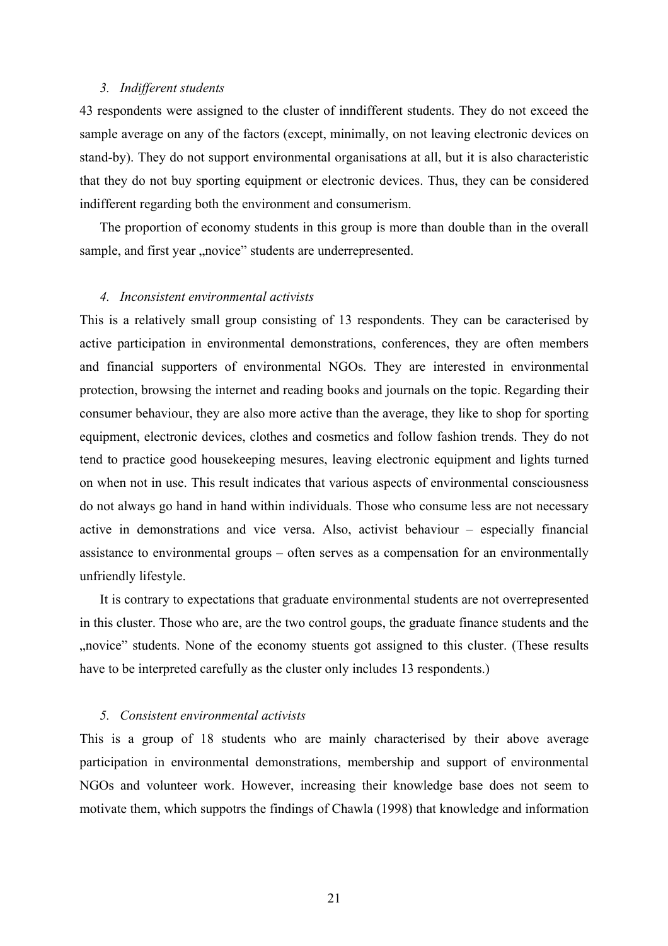## *3. Indifferent students*

43 respondents were assigned to the cluster of inndifferent students. They do not exceed the sample average on any of the factors (except, minimally, on not leaving electronic devices on stand-by). They do not support environmental organisations at all, but it is also characteristic that they do not buy sporting equipment or electronic devices. Thus, they can be considered indifferent regarding both the environment and consumerism.

The proportion of economy students in this group is more than double than in the overall sample, and first year "novice" students are underrepresented.

#### *4. Inconsistent environmental activists*

This is a relatively small group consisting of 13 respondents. They can be caracterised by active participation in environmental demonstrations, conferences, they are often members and financial supporters of environmental NGOs. They are interested in environmental protection, browsing the internet and reading books and journals on the topic. Regarding their consumer behaviour, they are also more active than the average, they like to shop for sporting equipment, electronic devices, clothes and cosmetics and follow fashion trends. They do not tend to practice good housekeeping mesures, leaving electronic equipment and lights turned on when not in use. This result indicates that various aspects of environmental consciousness do not always go hand in hand within individuals. Those who consume less are not necessary active in demonstrations and vice versa. Also, activist behaviour – especially financial assistance to environmental groups – often serves as a compensation for an environmentally unfriendly lifestyle.

It is contrary to expectations that graduate environmental students are not overrepresented in this cluster. Those who are, are the two control goups, the graduate finance students and the "novice" students. None of the economy stuents got assigned to this cluster. (These results have to be interpreted carefully as the cluster only includes 13 respondents.)

#### *5. Consistent environmental activists*

This is a group of 18 students who are mainly characterised by their above average participation in environmental demonstrations, membership and support of environmental NGOs and volunteer work. However, increasing their knowledge base does not seem to motivate them, which suppotrs the findings of Chawla (1998) that knowledge and information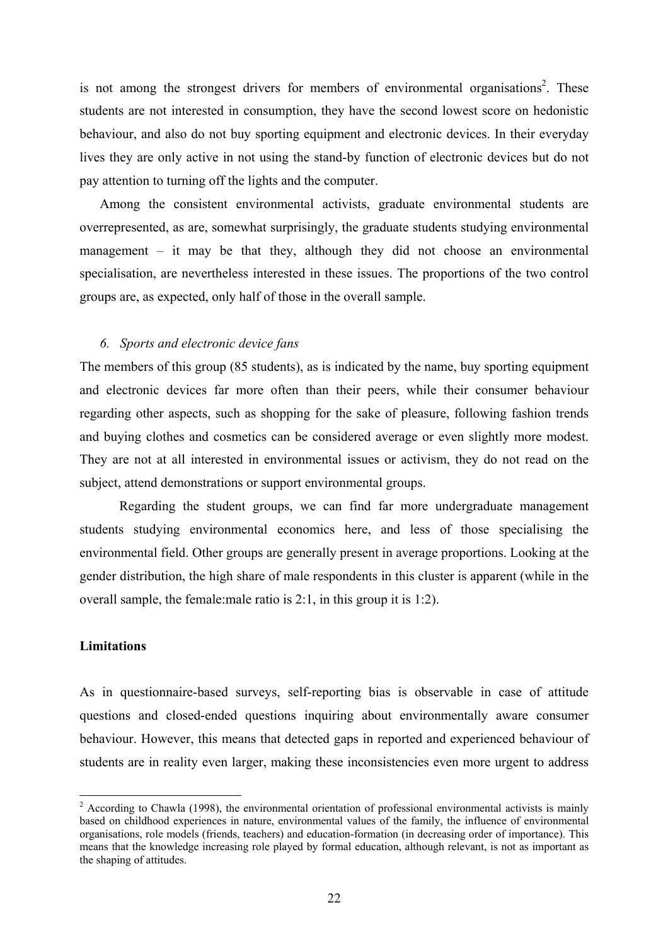is not among the strongest drivers for members of environmental organisations<sup>2</sup>. These students are not interested in consumption, they have the second lowest score on hedonistic behaviour, and also do not buy sporting equipment and electronic devices. In their everyday lives they are only active in not using the stand-by function of electronic devices but do not pay attention to turning off the lights and the computer.

Among the consistent environmental activists, graduate environmental students are overrepresented, as are, somewhat surprisingly, the graduate students studying environmental management – it may be that they, although they did not choose an environmental specialisation, are nevertheless interested in these issues. The proportions of the two control groups are, as expected, only half of those in the overall sample.

#### *6. Sports and electronic device fans*

The members of this group (85 students), as is indicated by the name, buy sporting equipment and electronic devices far more often than their peers, while their consumer behaviour regarding other aspects, such as shopping for the sake of pleasure, following fashion trends and buying clothes and cosmetics can be considered average or even slightly more modest. They are not at all interested in environmental issues or activism, they do not read on the subject, attend demonstrations or support environmental groups.

Regarding the student groups, we can find far more undergraduate management students studying environmental economics here, and less of those specialising the environmental field. Other groups are generally present in average proportions. Looking at the gender distribution, the high share of male respondents in this cluster is apparent (while in the overall sample, the female:male ratio is 2:1, in this group it is 1:2).

## **Limitations**

 $\overline{a}$ 

As in questionnaire-based surveys, self-reporting bias is observable in case of attitude questions and closed-ended questions inquiring about environmentally aware consumer behaviour. However, this means that detected gaps in reported and experienced behaviour of students are in reality even larger, making these inconsistencies even more urgent to address

 $2$  According to Chawla (1998), the environmental orientation of professional environmental activists is mainly based on childhood experiences in nature, environmental values of the family, the influence of environmental organisations, role models (friends, teachers) and education-formation (in decreasing order of importance). This means that the knowledge increasing role played by formal education, although relevant, is not as important as the shaping of attitudes.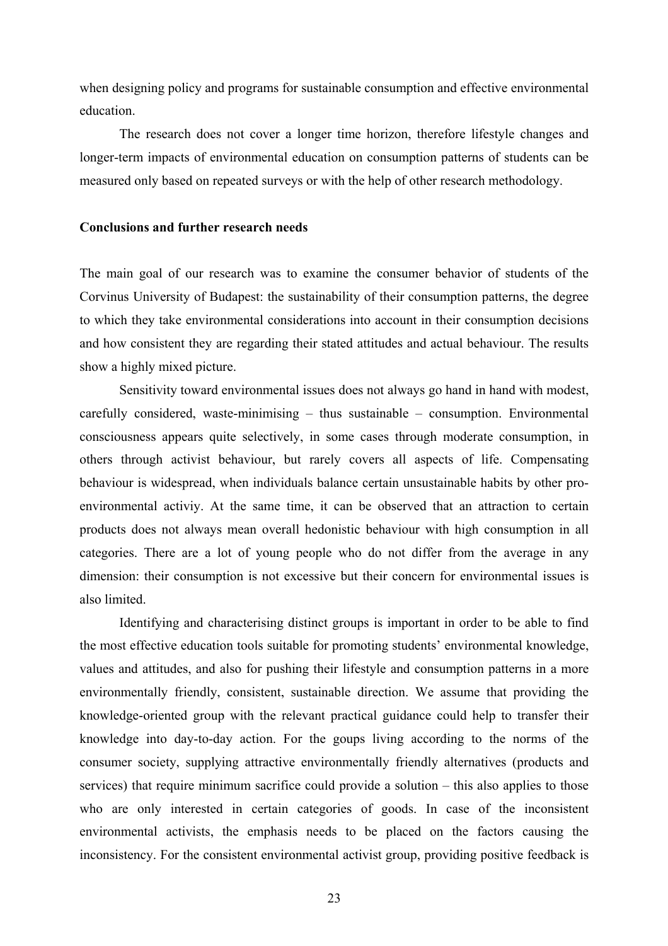when designing policy and programs for sustainable consumption and effective environmental education.

The research does not cover a longer time horizon, therefore lifestyle changes and longer-term impacts of environmental education on consumption patterns of students can be measured only based on repeated surveys or with the help of other research methodology.

## **Conclusions and further research needs**

The main goal of our research was to examine the consumer behavior of students of the Corvinus University of Budapest: the sustainability of their consumption patterns, the degree to which they take environmental considerations into account in their consumption decisions and how consistent they are regarding their stated attitudes and actual behaviour. The results show a highly mixed picture.

Sensitivity toward environmental issues does not always go hand in hand with modest, carefully considered, waste-minimising – thus sustainable – consumption. Environmental consciousness appears quite selectively, in some cases through moderate consumption, in others through activist behaviour, but rarely covers all aspects of life. Compensating behaviour is widespread, when individuals balance certain unsustainable habits by other proenvironmental activiy. At the same time, it can be observed that an attraction to certain products does not always mean overall hedonistic behaviour with high consumption in all categories. There are a lot of young people who do not differ from the average in any dimension: their consumption is not excessive but their concern for environmental issues is also limited.

Identifying and characterising distinct groups is important in order to be able to find the most effective education tools suitable for promoting students' environmental knowledge, values and attitudes, and also for pushing their lifestyle and consumption patterns in a more environmentally friendly, consistent, sustainable direction. We assume that providing the knowledge-oriented group with the relevant practical guidance could help to transfer their knowledge into day-to-day action. For the goups living according to the norms of the consumer society, supplying attractive environmentally friendly alternatives (products and services) that require minimum sacrifice could provide a solution – this also applies to those who are only interested in certain categories of goods. In case of the inconsistent environmental activists, the emphasis needs to be placed on the factors causing the inconsistency. For the consistent environmental activist group, providing positive feedback is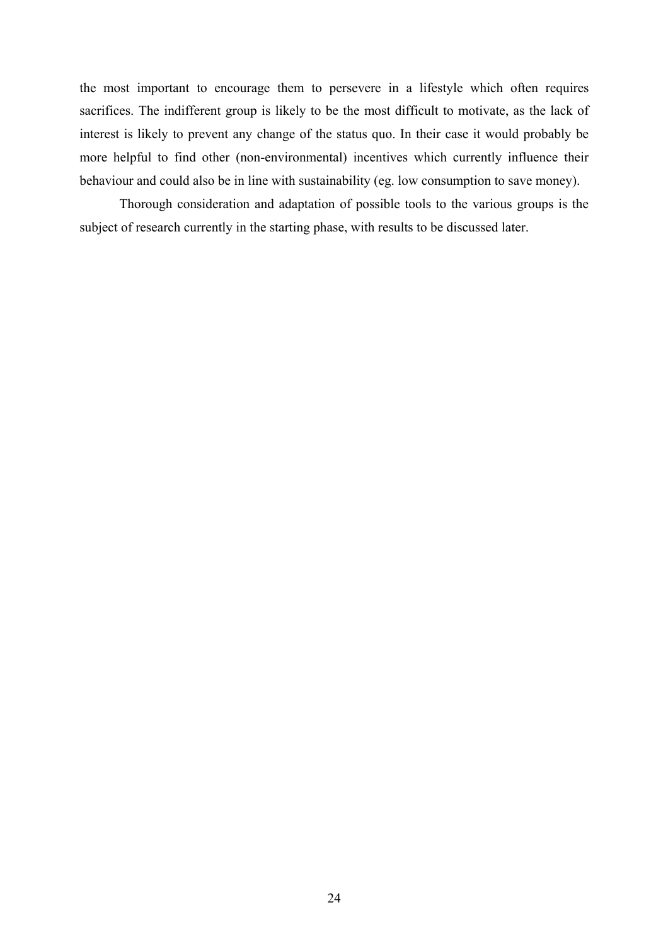the most important to encourage them to persevere in a lifestyle which often requires sacrifices. The indifferent group is likely to be the most difficult to motivate, as the lack of interest is likely to prevent any change of the status quo. In their case it would probably be more helpful to find other (non-environmental) incentives which currently influence their behaviour and could also be in line with sustainability (eg. low consumption to save money).

Thorough consideration and adaptation of possible tools to the various groups is the subject of research currently in the starting phase, with results to be discussed later.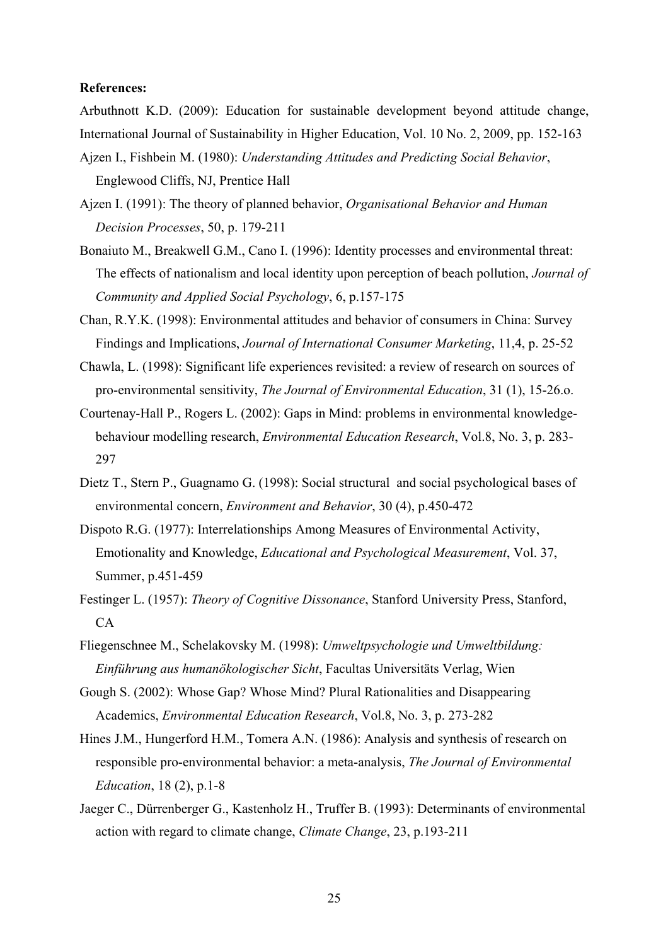### **References:**

Arbuthnott K.D. (2009): Education for sustainable development beyond attitude change, International Journal of Sustainability in Higher Education, Vol. 10 No. 2, 2009, pp. 152-163

- Ajzen I., Fishbein M. (1980): *Understanding Attitudes and Predicting Social Behavior*, Englewood Cliffs, NJ, Prentice Hall
- Ajzen I. (1991): The theory of planned behavior, *Organisational Behavior and Human Decision Processes*, 50, p. 179-211
- Bonaiuto M., Breakwell G.M., Cano I. (1996): Identity processes and environmental threat: The effects of nationalism and local identity upon perception of beach pollution, *Journal of Community and Applied Social Psychology*, 6, p.157-175
- Chan, R.Y.K. (1998): Environmental attitudes and behavior of consumers in China: Survey Findings and Implications, *Journal of International Consumer Marketing*, 11,4, p. 25-52
- Chawla, L. (1998): Significant life experiences revisited: a review of research on sources of pro-environmental sensitivity, *The Journal of Environmental Education*, 31 (1), 15-26.o.
- Courtenay-Hall P., Rogers L. (2002): Gaps in Mind: problems in environmental knowledgebehaviour modelling research, *Environmental Education Research*, Vol.8, No. 3, p. 283- 297
- Dietz T., Stern P., Guagnamo G. (1998): Social structural and social psychological bases of environmental concern, *Environment and Behavior*, 30 (4), p.450-472
- Dispoto R.G. (1977): Interrelationships Among Measures of Environmental Activity, Emotionality and Knowledge, *Educational and Psychological Measurement*, Vol. 37, Summer, p.451-459
- Festinger L. (1957): *Theory of Cognitive Dissonance*, Stanford University Press, Stanford,  $CA$
- Fliegenschnee M., Schelakovsky M. (1998): *Umweltpsychologie und Umweltbildung: Einführung aus humanökologischer Sicht*, Facultas Universitäts Verlag, Wien
- Gough S. (2002): Whose Gap? Whose Mind? Plural Rationalities and Disappearing Academics, *Environmental Education Research*, Vol.8, No. 3, p. 273-282
- Hines J.M., Hungerford H.M., Tomera A.N. (1986): Analysis and synthesis of research on responsible pro-environmental behavior: a meta-analysis, *The Journal of Environmental Education*, 18 (2), p.1-8
- Jaeger C., Dürrenberger G., Kastenholz H., Truffer B. (1993): Determinants of environmental action with regard to climate change, *Climate Change*, 23, p.193-211